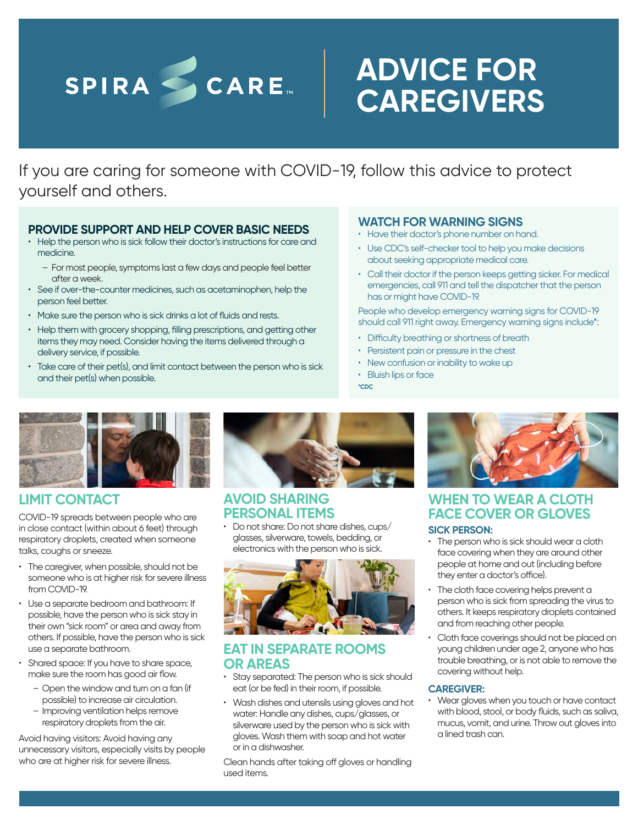# SPIRA CARE

# **ADVICE FOR CAREGIVERS**

If you are caring for someone with COVID-19, follow this advice to protect yourself and others.

### **PROVIDE SUPPORT AND HELP COVER BASIC NEEDS**

- Help the person who is sick follow their doctor's instructions for care and medicine.
	- For most people, symptoms last a few days and people feel better after a week.
- See if over-the-counter medicines, such as acetaminophen, help the person feel better.
- Make sure the person who is sick drinks a lot of fluids and rests.
- Help them with grocery shopping, filling prescriptions, and getting other items they may need. Consider having the items delivered through a delivery service, if possible.
- Take care of their pet(s), and limit contact between the person who is sick and their pet(s) when possible.

### **WATCH FOR WARNING SIGNS**

- Have their doctor's phone number on hand.
- Use CDC's self-checker tool to help you make decisions about seeking appropriate medical care.
- Call their doctor if the person keeps getting sicker. For medical emergencies, call 911 and tell the dispatcher that the person has or might have COVID-19.

People who develop emergency warning signs for COVID-19 should call 911 right away. Emergency warning signs include\*:

- Difficulty breathing or shortness of breath
- Persistent pain or pressure in the chest
- New confusion or inability to wake up
- Bluish lips or face

**\*CDC**



## **LIMIT CONTACT**

COVID-19 spreads between people who are in close contact (within about 6 feet) through respiratory droplets, created when someone talks, coughs or sneeze.

- The caregiver, when possible, should not be someone who is at higher risk for severe illness from COVID-19
- Use a separate bedroom and bathroom: If possible, have the person who is sick stay in their own "sick room" or area and away from others. If possible, have the person who is sick use a separate bathroom.
- Shared space: If you have to share space, make sure the room has good air flow.
	- Open the window and turn on a fan (if possible) to increase air circulation.
	- Improving ventilation helps remove respiratory droplets from the air.

Avoid having visitors: Avoid having any unnecessary visitors, especially visits by people who are at higher risk for severe illness.



### **AVOID SHARING PERSONAL ITEMS**

• Do not share: Do not share dishes, cups/ glasses, silverware, towels, bedding, or electronics with the person who is sick.



### **EAT IN SEPARATE ROOMS OR AREAS**

- Stay separated: The person who is sick should eat (or be fed) in their room, if possible.
- Wash dishes and utensils using gloves and hot water: Handle any dishes, cups/glasses, or silverware used by the person who is sick with gloves. Wash them with soap and hot water or in a dishwasher.

Clean hands after taking off gloves or handling used items.



### **WHEN TO WEAR A CLOTH FACE COVER OR GLOVES SICK PERSON:**

#### • The person who is sick should wear a cloth face covering when they are around other people at home and out (including before they enter a doctor's office).

- The cloth face covering helps prevent a person who is sick from spreading the virus to others. It keeps respiratory droplets contained and from reaching other people.
- Cloth face coverings should not be placed on young children under age 2, anyone who has trouble breathing, or is not able to remove the covering without help.

### **CAREGIVER:**

• Wear gloves when you touch or have contact with blood, stool, or body fluids, such as saliva, mucus, vomit, and urine. Throw out gloves into a lined trash can.